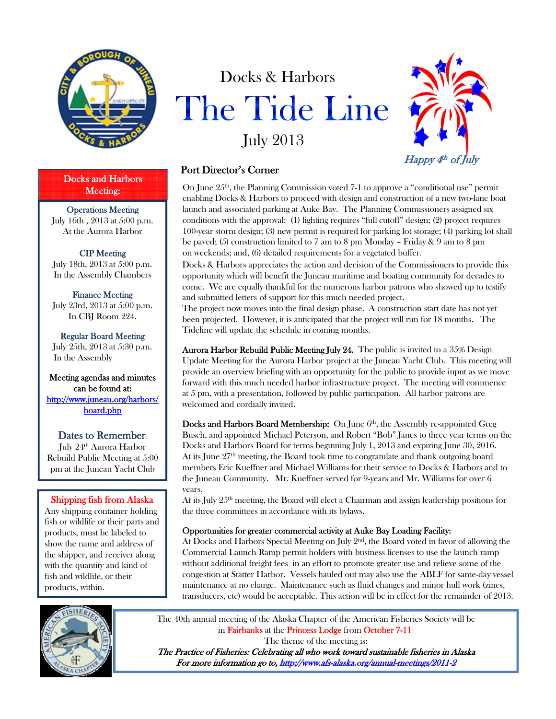

Docks and Harbors Meeting:

Operations Meeting July 16th , 2013 at 5:00 p.m. At the Aurora Harbor

# CIP Meeting

July 18th, 2013 at 5:00 p.m. In the Assembly Chambers

Finance Meeting July 23rd, 2013 at 5:00 p.m. In CBJ Room 224.

Regular Board Meeting July 25th, 2013 at 5:30 p.m. In the Assembly

Meeting agendas and minutes can be found at: http://www.juneau.org/harbors/ board.php

## Dates to Remember:

July 24<sup>th</sup> Aurora Harbor Rebuild Public Meeting at 5:00 pm at the Juneau Yacht Club

## Shipping fish from Alaska

Any shipping container holding fish or wildlife or their parts and products, must be labeled to show the name and address of the shipper, and receiver along with the quantity and kind of fish and wildlife, or their products, within.





# Port Director's Corner

On June  $25<sup>th</sup>$ , the Planning Commission voted 7-1 to approve a "conditional use" permit enabling Docks & Harbors to proceed with design and construction of a new two-lane boat launch and associated parking at Auke Bay. The Planning Commissioners assigned six conditions with the approval: (1) lighting requires "full cutoff" design; (2) project requires 100-year storm design; (3) new permit is required for parking lot storage; (4) parking lot shall be paved; (5) construction limited to 7 am to 8 pm Monday – Friday & 9 am to 8 pm on weekends; and, (6) detailed requirements for a vegetated buffer.

Docks & Harbors appreciates the action and decision of the Commissioners to provide this opportunity which will benefit the Juneau maritime and boating community for decades to come. We are equally thankful for the numerous harbor patrons who showed up to testify and submitted letters of support for this much needed project.

The project now moves into the final design phase. A construction start date has not yet been projected. However, it is anticipated that the project will run for 18 months. The Tideline will update the schedule in coming months.

Aurora Harbor Rebuild Public Meeting July 24. The public is invited to a 35% Design Update Meeting for the Aurora Harbor project at the Juneau Yacht Club. This meeting will provide an overview briefing with an opportunity for the public to provide input as we move forward with this much needed harbor infrastructure project. The meeting will commence at 5 pm, with a presentation, followed by public participation. All harbor patrons are welcomed and cordially invited.

Docks and Harbors Board Membership: On June 6<sup>th</sup>, the Assembly re-appointed Greg Busch, and appointed Michael Peterson, and Robert "Bob" Janes to three year terms on the Docks and Harbors Board for terms beginning July 1, 2013 and expiring June 30, 2016. At its June 27<sup>th</sup> meeting, the Board took time to congratulate and thank outgoing board members Eric Kueffner and Michael Williams for their service to Docks & Harbors and to the Juneau Community. Mr. Kueffner served for 9-years and Mr. Williams for over 6 years.

At its July 25th meeting, the Board will elect a Chairman and assign leadership positions for the three committees in accordance with its bylaws.

#### Opportunities for greater commercial activity at Auke Bay Loading Facility:

At Docks and Harbors Special Meeting on July  $2<sup>nd</sup>$ , the Board voted in favor of allowing the Commercial Launch Ramp permit holders with business licenses to use the launch ramp without additional freight fees in an effort to promote greater use and relieve some of the congestion at Statter Harbor. Vessels hauled out may also use the ABLF for same-day vessel maintenance at no charge. Maintenance such as fluid changes and minor hull work (zincs, transducers, etc) would be acceptable. This action will be in effect for the remainder of 2013.

The 40th annual meeting of the Alaska Chapter of the American Fisheries Society will be in Fairbanks at the Princess Lodge from October 7-11

The theme of the meeting is:

The Practice of Fisheries: Celebrating all who work toward sustainable fisheries in Alaska For more information go to, http://www.afs-alaska.org/annual-meetings/2011-2